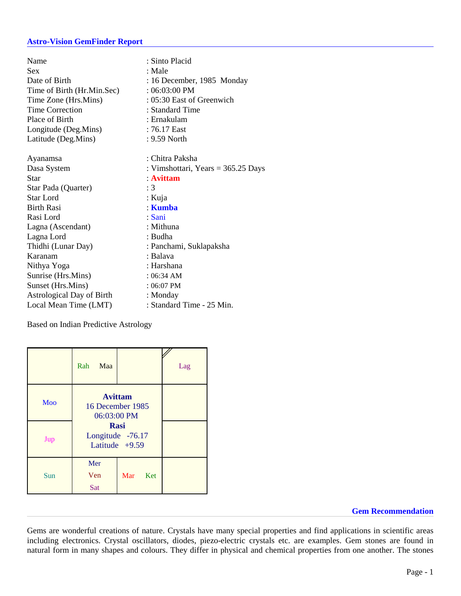## **Astro-Vision GemFinder Report**

| Name<br>Sex<br>Date of Birth<br>Time of Birth (Hr.Min.Sec)<br>Time Zone (Hrs.Mins)<br><b>Time Correction</b><br>Place of Birth<br>Longitude (Deg.Mins)<br>Latitude (Deg.Mins) | : Sinto Placid<br>: Male<br>: 16 December, 1985 Monday<br>$: 06:03:00$ PM<br>$: 05:30$ East of Greenwich<br>: Standard Time<br>: Ernakulam<br>$:76.17$ East<br>$: 9.59$ North |
|-------------------------------------------------------------------------------------------------------------------------------------------------------------------------------|-------------------------------------------------------------------------------------------------------------------------------------------------------------------------------|
|                                                                                                                                                                               | : Chitra Paksha                                                                                                                                                               |
| Ayanamsa                                                                                                                                                                      |                                                                                                                                                                               |
| Dasa System                                                                                                                                                                   | : Vimshottari, Years = $365.25$ Days                                                                                                                                          |
| Star                                                                                                                                                                          | : Avittam                                                                                                                                                                     |
| Star Pada (Quarter)                                                                                                                                                           | :3                                                                                                                                                                            |
| Star Lord                                                                                                                                                                     | : Kuja                                                                                                                                                                        |
| <b>Birth Rasi</b>                                                                                                                                                             | : Kumba                                                                                                                                                                       |
| Rasi Lord                                                                                                                                                                     | : Sani                                                                                                                                                                        |
| Lagna (Ascendant)                                                                                                                                                             | : Mithuna                                                                                                                                                                     |
| Lagna Lord                                                                                                                                                                    | : Budha                                                                                                                                                                       |
| Thidhi (Lunar Day)                                                                                                                                                            | : Panchami, Suklapaksha                                                                                                                                                       |
| Karanam                                                                                                                                                                       | : Balava                                                                                                                                                                      |
| Nithya Yoga                                                                                                                                                                   | : Harshana                                                                                                                                                                    |
| Sunrise (Hrs.Mins)                                                                                                                                                            | $: 06:34$ AM                                                                                                                                                                  |
| Sunset (Hrs.Mins)                                                                                                                                                             | $: 06:07$ PM                                                                                                                                                                  |
| <b>Astrological Day of Birth</b>                                                                                                                                              | : Monday                                                                                                                                                                      |
| Local Mean Time (LMT)                                                                                                                                                         | : Standard Time - 25 Min.                                                                                                                                                     |

Based on Indian Predictive Astrology

|     | Rah<br>Maa                                          |            | Lag |
|-----|-----------------------------------------------------|------------|-----|
| Moo | <b>Avittam</b><br>16 December 1985<br>06:03:00 PM   |            |     |
| Jup | <b>Rasi</b><br>Longitude -76.17<br>Latitude $+9.59$ |            |     |
| Sun | Mer<br>Ven<br>Sat                                   | Mar<br>Ket |     |

**Gem Recommendation**

Gems are wonderful creations of nature. Crystals have many special properties and find applications in scientific areas including electronics. Crystal oscillators, diodes, piezo-electric crystals etc. are examples. Gem stones are found in natural form in many shapes and colours. They differ in physical and chemical properties from one another. The stones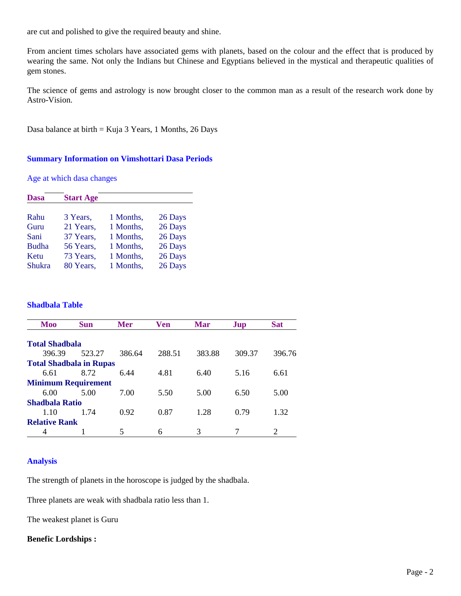are cut and polished to give the required beauty and shine.

From ancient times scholars have associated gems with planets, based on the colour and the effect that is produced by wearing the same. Not only the Indians but Chinese and Egyptians believed in the mystical and therapeutic qualities of gem stones.

The science of gems and astrology is now brought closer to the common man as a result of the research work done by Astro-Vision.

Dasa balance at birth = Kuja 3 Years, 1 Months, 26 Days

## **Summary Information on Vimshottari Dasa Periods**

Age at which dasa changes

| <b>Dasa</b>   | <b>Start Age</b> |           |         |
|---------------|------------------|-----------|---------|
| Rahu          | 3 Years,         | 1 Months, | 26 Days |
| Guru          | 21 Years,        | 1 Months, | 26 Days |
| Sani          | 37 Years,        | 1 Months, | 26 Days |
| <b>Budha</b>  | 56 Years,        | 1 Months, | 26 Days |
| Ketu          | 73 Years,        | 1 Months, | 26 Days |
| <b>Shukra</b> | 80 Years,        | 1 Months, | 26 Days |

#### **Shadbala Table**

| Moo                            | <b>Sun</b> | <b>Mer</b> | <b>Ven</b> | <b>Mar</b> | Jup    | <b>Sat</b>                  |
|--------------------------------|------------|------------|------------|------------|--------|-----------------------------|
| <b>Total Shadbala</b>          |            |            |            |            |        |                             |
| 396.39                         | 523.27     | 386.64     | 288.51     | 383.88     | 309.37 | 396.76                      |
| <b>Total Shadbala in Rupas</b> |            |            |            |            |        |                             |
| 6.61                           | 8.72       | 6.44       | 4.81       | 6.40       | 5.16   | 6.61                        |
| <b>Minimum Requirement</b>     |            |            |            |            |        |                             |
| 6.00                           | 5.00       | 7.00       | 5.50       | 5.00       | 6.50   | 5.00                        |
| <b>Shadbala Ratio</b>          |            |            |            |            |        |                             |
| 1.10                           | 1 74       | 0.92       | 0.87       | 1.28       | 0.79   | 1.32                        |
| <b>Relative Rank</b>           |            |            |            |            |        |                             |
|                                |            | 5          | 6          | 3          |        | $\mathcal{D}_{\mathcal{L}}$ |

## **Analysis**

The strength of planets in the horoscope is judged by the shadbala.

Three planets are weak with shadbala ratio less than 1.

The weakest planet is Guru

#### **Benefic Lordships :**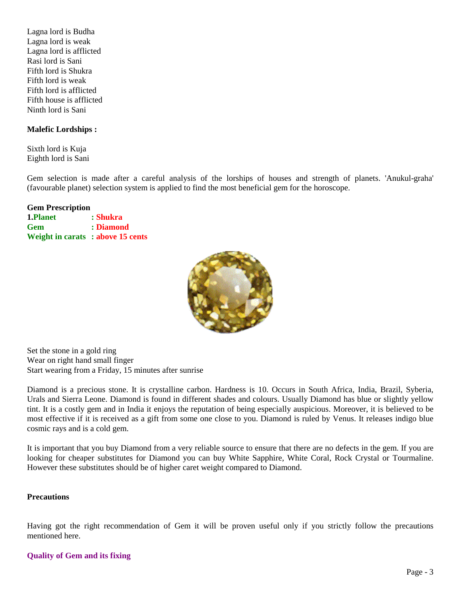Lagna lord is Budha Lagna lord is weak Lagna lord is afflicted Rasi lord is Sani Fifth lord is Shukra Fifth lord is weak Fifth lord is afflicted Fifth house is afflicted Ninth lord is Sani

# **Malefic Lordships :**

Sixth lord is Kuja Eighth lord is Sani

Gem selection is made after a careful analysis of the lorships of houses and strength of planets. 'Anukul-graha' (favourable planet) selection system is applied to find the most beneficial gem for the horoscope.

# **Gem Prescription**

| <b>1.Planet</b>                  | : Shukra  |
|----------------------------------|-----------|
| Gem                              | : Diamond |
| Weight in carats: above 15 cents |           |



Set the stone in a gold ring Wear on right hand small finger Start wearing from a Friday, 15 minutes after sunrise

Diamond is a precious stone. It is crystalline carbon. Hardness is 10. Occurs in South Africa, India, Brazil, Syberia, Urals and Sierra Leone. Diamond is found in different shades and colours. Usually Diamond has blue or slightly yellow tint. It is a costly gem and in India it enjoys the reputation of being especially auspicious. Moreover, it is believed to be most effective if it is received as a gift from some one close to you. Diamond is ruled by Venus. It releases indigo blue cosmic rays and is a cold gem.

It is important that you buy Diamond from a very reliable source to ensure that there are no defects in the gem. If you are looking for cheaper substitutes for Diamond you can buy White Sapphire, White Coral, Rock Crystal or Tourmaline. However these substitutes should be of higher caret weight compared to Diamond.

# **Precautions**

Having got the right recommendation of Gem it will be proven useful only if you strictly follow the precautions mentioned here.

# **Quality of Gem and its fixing**